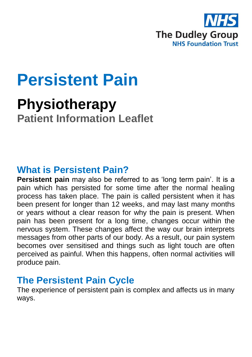

# **Persistent Pain**

# **Physiotherapy Patient Information Leaflet**

### **What is Persistent Pain?**

**Persistent pain** may also be referred to as 'long term pain'. It is a pain which has persisted for some time after the normal healing process has taken place. The pain is called persistent when it has been present for longer than 12 weeks, and may last many months or years without a clear reason for why the pain is present. When pain has been present for a long time, changes occur within the nervous system. These changes affect the way our brain interprets messages from other parts of our body. As a result, our pain system becomes over sensitised and things such as light touch are often perceived as painful. When this happens, often normal activities will produce pain.

### **The Persistent Pain Cycle**

The experience of persistent pain is complex and affects us in many ways.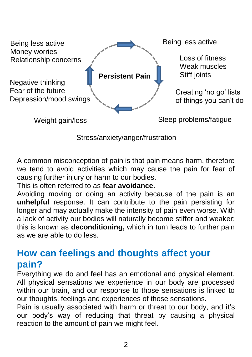

Stress/anxiety/anger/frustration

A common misconception of pain is that pain means harm, therefore we tend to avoid activities which may cause the pain for fear of causing further injury or harm to our bodies.

This is often referred to as **fear avoidance.**

Avoiding moving or doing an activity because of the pain is an **unhelpful** response. It can contribute to the pain persisting for longer and may actually make the intensity of pain even worse. With a lack of activity our bodies will naturally become stiffer and weaker; this is known as **deconditioning,** which in turn leads to further pain as we are able to do less.

## **How can feelings and thoughts affect your pain?**

Everything we do and feel has an emotional and physical element. All physical sensations we experience in our body are processed within our brain, and our response to those sensations is linked to our thoughts, feelings and experiences of those sensations.

Pain is usually associated with harm or threat to our body, and it's our body's way of reducing that threat by causing a physical reaction to the amount of pain we might feel.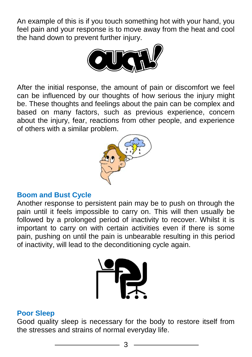An example of this is if you touch something hot with your hand, you feel pain and your response is to move away from the heat and cool the hand down to pre[vent further injury.](https://www.google.co.uk/url?sa=i&rct=j&q=&esrc=s&source=images&cd=&cad=rja&uact=8&ved=2ahUKEwi-zdfhwczgAhUSalAKHcgBA6YQjRx6BAgBEAU&url=https://pixabay.com/en/ouch-comics-onomatopoeia-cartoon-147868/&psig=AOvVaw04xzZdME8_pVfXhixx84_p&ust=1550827684677023)



After the initial response, the amount of pain or discomfort we feel can be influenced by our thoughts of how serious the injury might be. These thoughts and feelings about the pain can be complex and based on many factors, such as previous experience, concern about the injury, fear, reactions from other people, and experience of others with a similar problem.



#### **Boom and Bust Cycle**

Another response to persistent pain may be to push on through the pain until it feels impossible to carry on. This will then usually be followed by a prolonged period of inactivity to recover. Whilst it is important to carry on with certain activities even if there is some pain, pushing on until the pain is unbearable resulting in this period of inactivity, will lead to the deconditioning cycle again.



#### **Poor Sleep**

Good quality sleep is necessary for the body to restore itself from the stresses and strains of normal everyday life.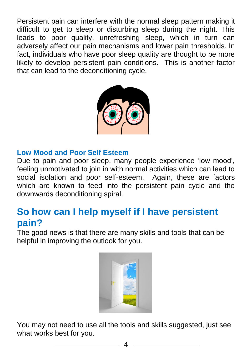Persistent pain can interfere with the normal sleep pattern making it difficult to get to sleep or disturbing sleep during the night. This leads to poor quality, unrefreshing sleep, which in turn can adversely affect our pain mechanisms and lower pain thresholds. In fact, individuals who have poor sleep quality are thought to be more likely to develop persistent pain conditions. This is another factor that can lead to the deconditioning cycle.



#### **Low Mood and Poor Self Esteem**

Due to pain and poor sleep, many people experience 'low mood', feeling unmotivated to join in with normal activities which can lead to social isolation and poor self-esteem. Again, these are factors which are known to feed into the persistent pain cycle and the downwards deconditioning spiral.

# **So how can I help myself if I have persistent pain?**

The good news is that there are many skills and tools that can be helpful in improving the outlook for you.



You may not need to use all the tools and skills suggested, just see what works best for you.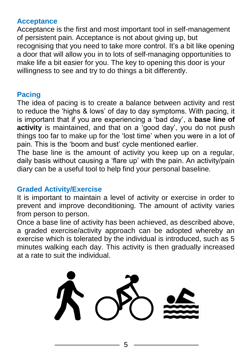#### **Acceptance**

Acceptance is the first and most important tool in self-management of persistent pain. Acceptance is not about giving up, but recognising that you need to take more control. It's a bit like opening a door that will allow you in to lots of self-managing opportunities to make life a bit easier for you. The key to opening this door is your willingness to see and try to do things a bit differently.

#### **Pacing**

The idea of pacing is to create a balance between activity and rest to reduce the 'highs & lows' of day to day symptoms. With pacing, it is important that if you are experiencing a 'bad day', a **base line of activity** is maintained, and that on a 'good day', you do not push things too far to make up for the 'lost time' when you were in a lot of pain. This is the 'boom and bust' cycle mentioned earlier.

The base line is the amount of activity you keep up on a regular, daily basis without causing a 'flare up' with the pain. An activity/pain diary can be a useful tool to help find your personal baseline.

#### **Graded Activity/Exercise**

It is important to maintain a level of activity or exercise in order to prevent and improve deconditioning. The amount of activity varies from person to person.

Once a base line of activity has been achieved, as described above, a graded exercise/activity approach can be adopted whereby an exercise which is tolerated by the individual is introduced, such as 5 minutes walking each day. This activity is then gradually increased at a rate to suit the individual.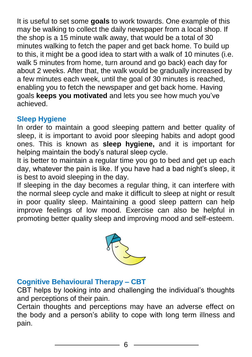It is useful to set some **goals** to work towards. One example of this may be walking to collect the daily newspaper from a local shop. If the shop is a 15 minute walk away, that would be a total of 30 minutes walking to fetch the paper and get back home. To build up to this, it might be a good idea to start with a walk of 10 minutes (i.e. walk 5 minutes from home, turn around and go back) each day for about 2 weeks. After that, the walk would be gradually increased by a few minutes each week, until the goal of 30 minutes is reached, enabling you to fetch the newspaper and get back home. Having goals **keeps you motivated** and lets you see how much you've achieved.

#### **Sleep Hygiene**

In order to maintain a good sleeping pattern and better quality of sleep, it is important to avoid poor sleeping habits and adopt good ones. This is known as **sleep hygiene,** and it is important for helping maintain the body's natural sleep cycle.

It is better to maintain a regular time you go to bed and get up each day, whatever the pain is like. If you have had a bad night's sleep, it is best to avoid sleeping in the day.

If sleeping in the day becomes a regular thing, it can interfere with the normal sleep cycle and make it difficult to sleep at night or result in poor quality sleep. Maintaining a good sleep pattern can help improve feelings of low mood. Exercise can also be helpful in promoting better quality sleep and improving mood and self-esteem.



#### **Cognitive Behavioural Therapy – CBT**

CBT helps by looking into and challenging the individual's thoughts and perceptions of their pain.

Certain thoughts and perceptions may have an adverse effect on the body and a person's ability to cope with long term illness and pain.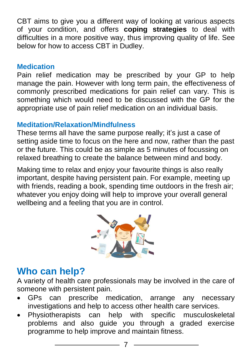CBT aims to give you a different way of looking at various aspects of your condition, and offers **coping strategies** to deal with difficulties in a more positive way, thus improving quality of life. See below for how to access CBT in Dudley.

#### **Medication**

Pain relief medication may be prescribed by your GP to help manage the pain. However with long term pain, the effectiveness of commonly prescribed medications for pain relief can vary. This is something which would need to be discussed with the GP for the appropriate use of pain relief medication on an individual basis.

#### **Meditation/Relaxation/Mindfulness**

These terms all have the same purpose really; it's just a case of setting aside time to focus on the here and now, rather than the past or the future. This could be as simple as 5 minutes of focussing on relaxed breathing to create the balance between mind and body.

Making time to relax and enjoy your favourite things is also really important, despite having persistent pain. For example, meeting up with friends, reading a book, spending time outdoors in the fresh air; whatever you enjoy doing will help to improve your overall general wellbeing and a feeling that you are in control.



# **Who can help?**

A variety of health care professionals may be involved in the care of someone with persistent pain.

- GPs can prescribe medication, arrange any necessary investigations and help to access other health care services.
- Physiotherapists can help with specific musculoskeletal problems and also guide you through a graded exercise programme to help improve and maintain fitness.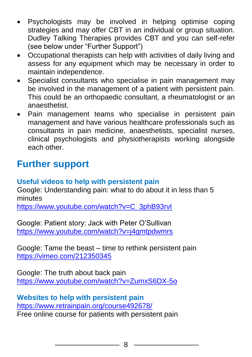- Psychologists may be involved in helping optimise coping strategies and may offer CBT in an individual or group situation. Dudley Talking Therapies provides CBT and you can self-refer (see below under "Further Support")
- Occupational therapists can help with activities of daily living and assess for any equipment which may be necessary in order to maintain independence.
- Specialist consultants who specialise in pain management may be involved in the management of a patient with persistent pain. This could be an orthopaedic consultant, a rheumatologist or an anaesthetist.
- Pain management teams who specialise in persistent pain management and have various healthcare professionals such as consultants in pain medicine, anaesthetists, specialist nurses, clinical psychologists and physiotherapists working alongside each other.

# **Further support**

#### **Useful videos to help with persistent pain**

Google: Understanding pain: what to do about it in less than 5 minutes

[https://www.youtube.com/watch?v=C\\_3phB93rvI](https://www.youtube.com/watch?v=C_3phB93rvI)

Google: Patient story: Jack with Peter O'Sullivan <https://www.youtube.com/watch?v=j4gmtpdwmrs>

Google: Tame the beast – time to rethink persistent pain <https://vimeo.com/212350345>

Google: The truth about back pain <https://www.youtube.com/watch?v=ZumxS6DX-5o>

**Websites to help with persistent pain** <https://www.retrainpain.org/course492678/> Free online course for patients with persistent pain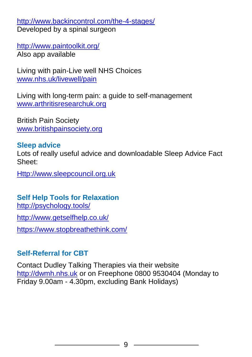<http://www.backincontrol.com/the-4-stages/> Developed by a spinal surgeon

<http://www.paintoolkit.org/> Also app available

Living with pain-Live well NHS Choices [www.nhs.uk/livewell/pain](http://www.nhs.uk/livewell/pain)

Living with long-term pain: a guide to self-management [www.arthritisresearchuk.org](http://www.arthritisresearchuk.org/)

British Pain Society [www.britishpainsociety.org](http://www.britishpainsociety.org/)

#### **Sleep advice**

Lots of really useful advice and downloadable Sleep Advice Fact Sheet:

[Http://www.sleepcouncil.org.uk](http://www.sleepcouncil.org.uk/)

### **Self Help Tools for Relaxation**

<http://psychology.tools/>

<http://www.getselfhelp.co.uk/>

<https://www.stopbreathethink.com/>

#### **Self-Referral for CBT**

Contact Dudley Talking Therapies via their website [http://dwmh.nhs.uk](http://dwmh.nhs.uk/) or on Freephone 0800 9530404 (Monday to Friday 9.00am - 4.30pm, excluding Bank Holidays)